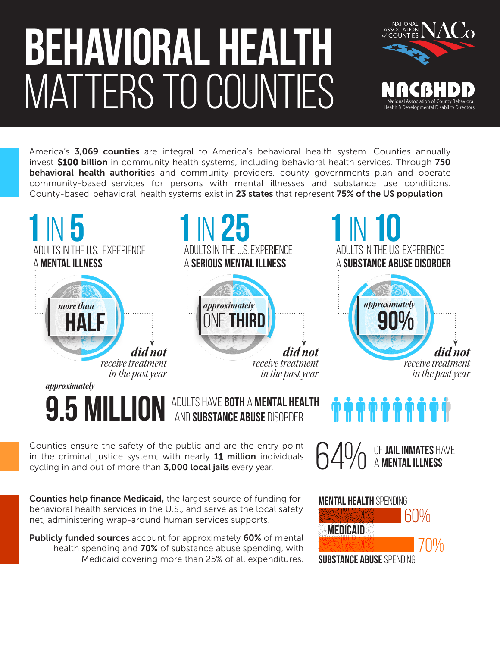## BEHAVIORAL HEALTH MATTERS TO COUNTIES



America's 3,069 counties are integral to America's behavioral health system. Counties annually invest \$100 billion in community health systems, including behavioral health services. Through 750 behavioral health authorities and community providers, county governments plan and operate community-based services for persons with mental illnesses and substance use conditions. County-based behavioral health systems exist in 23 states that represent 75% of the US population.